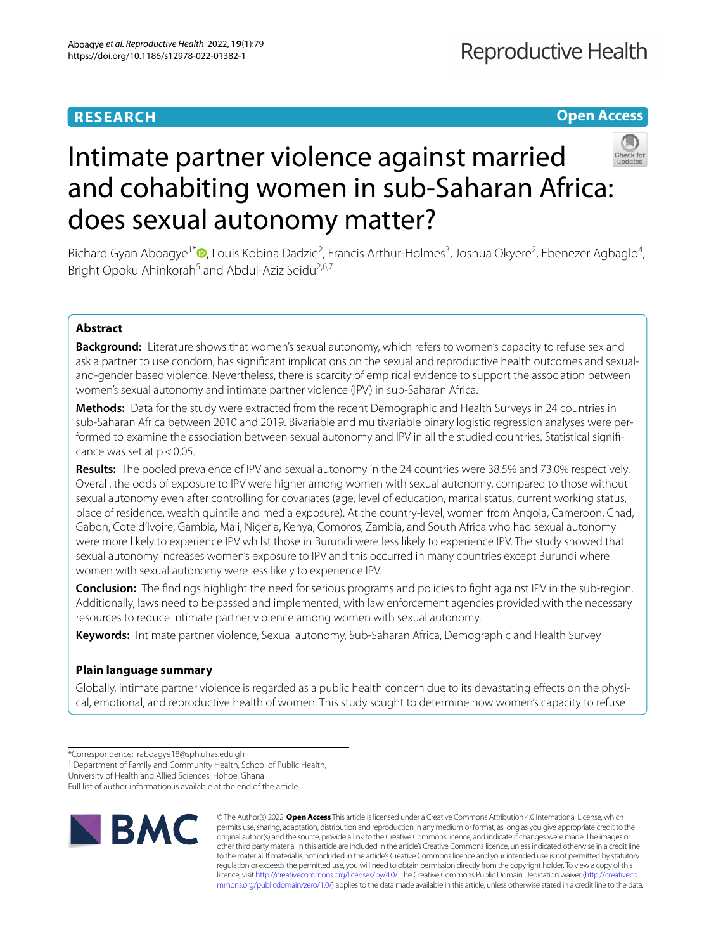# **RESEARCH**

# **Open Access**



# Intimate partner violence against married and cohabiting women in sub-Saharan Africa: does sexual autonomy matter?

Richard Gyan Aboagye<sup>1\*</sup><sup>®</sup>[,](http://orcid.org/0000-0002-3498-2909) Louis Kobina Dadzie<sup>2</sup>, Francis Arthur-Holmes<sup>3</sup>, Joshua Okyere<sup>2</sup>, Ebenezer Agbaglo<sup>4</sup>, Bright Opoku Ahinkorah<sup>5</sup> and Abdul-Aziz Seidu<sup>2,6,7</sup>

# **Abstract**

**Background:** Literature shows that women's sexual autonomy, which refers to women's capacity to refuse sex and ask a partner to use condom, has signifcant implications on the sexual and reproductive health outcomes and sexualand-gender based violence. Nevertheless, there is scarcity of empirical evidence to support the association between women's sexual autonomy and intimate partner violence (IPV) in sub-Saharan Africa.

**Methods:** Data for the study were extracted from the recent Demographic and Health Surveys in 24 countries in sub-Saharan Africa between 2010 and 2019. Bivariable and multivariable binary logistic regression analyses were per‑ formed to examine the association between sexual autonomy and IPV in all the studied countries. Statistical significance was set at  $p < 0.05$ .

**Results:** The pooled prevalence of IPV and sexual autonomy in the 24 countries were 38.5% and 73.0% respectively. Overall, the odds of exposure to IPV were higher among women with sexual autonomy, compared to those without sexual autonomy even after controlling for covariates (age, level of education, marital status, current working status, place of residence, wealth quintile and media exposure). At the country-level, women from Angola, Cameroon, Chad, Gabon, Cote d'lvoire, Gambia, Mali, Nigeria, Kenya, Comoros, Zambia, and South Africa who had sexual autonomy were more likely to experience IPV whilst those in Burundi were less likely to experience IPV. The study showed that sexual autonomy increases women's exposure to IPV and this occurred in many countries except Burundi where women with sexual autonomy were less likely to experience IPV.

**Conclusion:** The fndings highlight the need for serious programs and policies to fght against IPV in the sub-region. Additionally, laws need to be passed and implemented, with law enforcement agencies provided with the necessary resources to reduce intimate partner violence among women with sexual autonomy.

**Keywords:** Intimate partner violence, Sexual autonomy, Sub-Saharan Africa, Demographic and Health Survey

# **Plain language summary**

Globally, intimate partner violence is regarded as a public health concern due to its devastating effects on the physical, emotional, and reproductive health of women. This study sought to determine how women's capacity to refuse

<sup>1</sup> Department of Family and Community Health, School of Public Health,

University of Health and Allied Sciences, Hohoe, Ghana

Full list of author information is available at the end of the article



© The Author(s) 2022. **Open Access** This article is licensed under a Creative Commons Attribution 4.0 International License, which permits use, sharing, adaptation, distribution and reproduction in any medium or format, as long as you give appropriate credit to the original author(s) and the source, provide a link to the Creative Commons licence, and indicate if changes were made. The images or other third party material in this article are included in the article's Creative Commons licence, unless indicated otherwise in a credit line to the material. If material is not included in the article's Creative Commons licence and your intended use is not permitted by statutory regulation or exceeds the permitted use, you will need to obtain permission directly from the copyright holder. To view a copy of this licence, visit [http://creativecommons.org/licenses/by/4.0/.](http://creativecommons.org/licenses/by/4.0/) The Creative Commons Public Domain Dedication waiver ([http://creativeco](http://creativecommons.org/publicdomain/zero/1.0/) [mmons.org/publicdomain/zero/1.0/](http://creativecommons.org/publicdomain/zero/1.0/)) applies to the data made available in this article, unless otherwise stated in a credit line to the data.

<sup>\*</sup>Correspondence: raboagye18@sph.uhas.edu.gh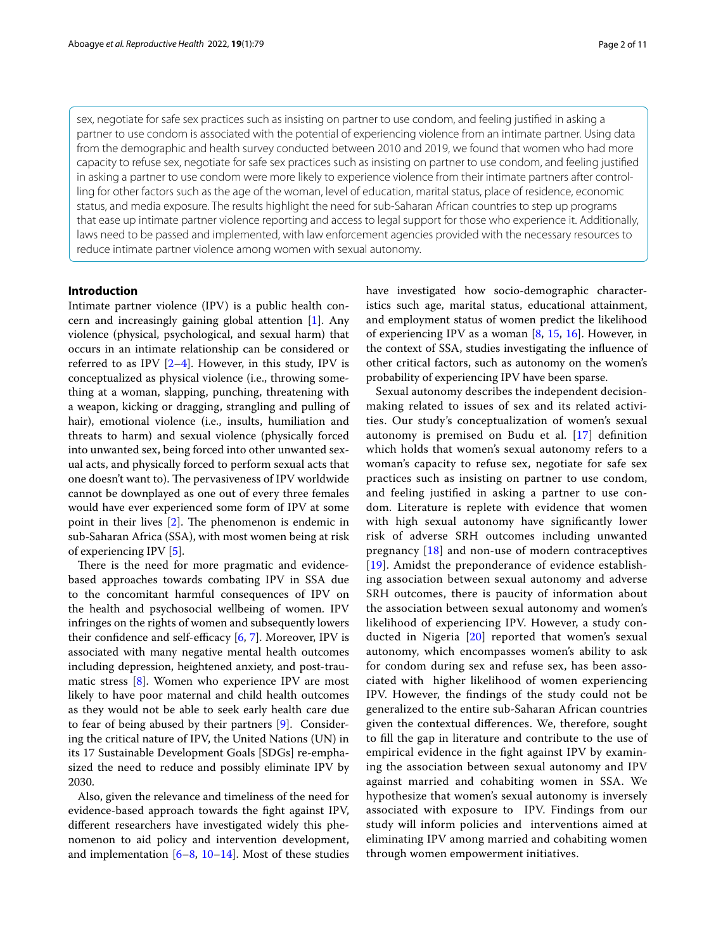sex, negotiate for safe sex practices such as insisting on partner to use condom, and feeling justifed in asking a partner to use condom is associated with the potential of experiencing violence from an intimate partner. Using data from the demographic and health survey conducted between 2010 and 2019, we found that women who had more capacity to refuse sex, negotiate for safe sex practices such as insisting on partner to use condom, and feeling justifed in asking a partner to use condom were more likely to experience violence from their intimate partners after controlling for other factors such as the age of the woman, level of education, marital status, place of residence, economic status, and media exposure. The results highlight the need for sub-Saharan African countries to step up programs that ease up intimate partner violence reporting and access to legal support for those who experience it. Additionally, laws need to be passed and implemented, with law enforcement agencies provided with the necessary resources to reduce intimate partner violence among women with sexual autonomy.

# **Introduction**

Intimate partner violence (IPV) is a public health concern and increasingly gaining global attention [\[1](#page-9-0)]. Any violence (physical, psychological, and sexual harm) that occurs in an intimate relationship can be considered or referred to as IPV  $[2-4]$  $[2-4]$ . However, in this study, IPV is conceptualized as physical violence (i.e., throwing something at a woman, slapping, punching, threatening with a weapon, kicking or dragging, strangling and pulling of hair), emotional violence (i.e., insults, humiliation and threats to harm) and sexual violence (physically forced into unwanted sex, being forced into other unwanted sexual acts, and physically forced to perform sexual acts that one doesn't want to). The pervasiveness of IPV worldwide cannot be downplayed as one out of every three females would have ever experienced some form of IPV at some point in their lives  $[2]$  $[2]$ . The phenomenon is endemic in sub-Saharan Africa (SSA), with most women being at risk of experiencing IPV [\[5](#page-9-3)].

There is the need for more pragmatic and evidencebased approaches towards combating IPV in SSA due to the concomitant harmful consequences of IPV on the health and psychosocial wellbeing of women. IPV infringes on the rights of women and subsequently lowers their confidence and self-efficacy  $[6, 7]$  $[6, 7]$  $[6, 7]$  $[6, 7]$ . Moreover, IPV is associated with many negative mental health outcomes including depression, heightened anxiety, and post-traumatic stress [[8](#page-9-6)]. Women who experience IPV are most likely to have poor maternal and child health outcomes as they would not be able to seek early health care due to fear of being abused by their partners [\[9\]](#page-9-7). Considering the critical nature of IPV, the United Nations (UN) in its 17 Sustainable Development Goals [SDGs] re-emphasized the need to reduce and possibly eliminate IPV by 2030.

Also, given the relevance and timeliness of the need for evidence-based approach towards the fght against IPV, diferent researchers have investigated widely this phenomenon to aid policy and intervention development, and implementation  $[6-8, 10-14]$  $[6-8, 10-14]$  $[6-8, 10-14]$  $[6-8, 10-14]$  $[6-8, 10-14]$ . Most of these studies have investigated how socio-demographic characteristics such age, marital status, educational attainment, and employment status of women predict the likelihood of experiencing IPV as a woman [[8](#page-9-6), [15,](#page-9-10) [16\]](#page-9-11). However, in the context of SSA, studies investigating the infuence of other critical factors, such as autonomy on the women's probability of experiencing IPV have been sparse.

Sexual autonomy describes the independent decisionmaking related to issues of sex and its related activities. Our study's conceptualization of women's sexual autonomy is premised on Budu et al. [[17\]](#page-9-12) defnition which holds that women's sexual autonomy refers to a woman's capacity to refuse sex, negotiate for safe sex practices such as insisting on partner to use condom, and feeling justifed in asking a partner to use condom. Literature is replete with evidence that women with high sexual autonomy have signifcantly lower risk of adverse SRH outcomes including unwanted pregnancy [[18\]](#page-9-13) and non-use of modern contraceptives [[19](#page-9-14)]. Amidst the preponderance of evidence establishing association between sexual autonomy and adverse SRH outcomes, there is paucity of information about the association between sexual autonomy and women's likelihood of experiencing IPV. However, a study conducted in Nigeria [[20\]](#page-9-15) reported that women's sexual autonomy, which encompasses women's ability to ask for condom during sex and refuse sex, has been associated with higher likelihood of women experiencing IPV. However, the fndings of the study could not be generalized to the entire sub-Saharan African countries given the contextual diferences. We, therefore, sought to fll the gap in literature and contribute to the use of empirical evidence in the fght against IPV by examining the association between sexual autonomy and IPV against married and cohabiting women in SSA. We hypothesize that women's sexual autonomy is inversely associated with exposure to IPV. Findings from our study will inform policies and interventions aimed at eliminating IPV among married and cohabiting women through women empowerment initiatives.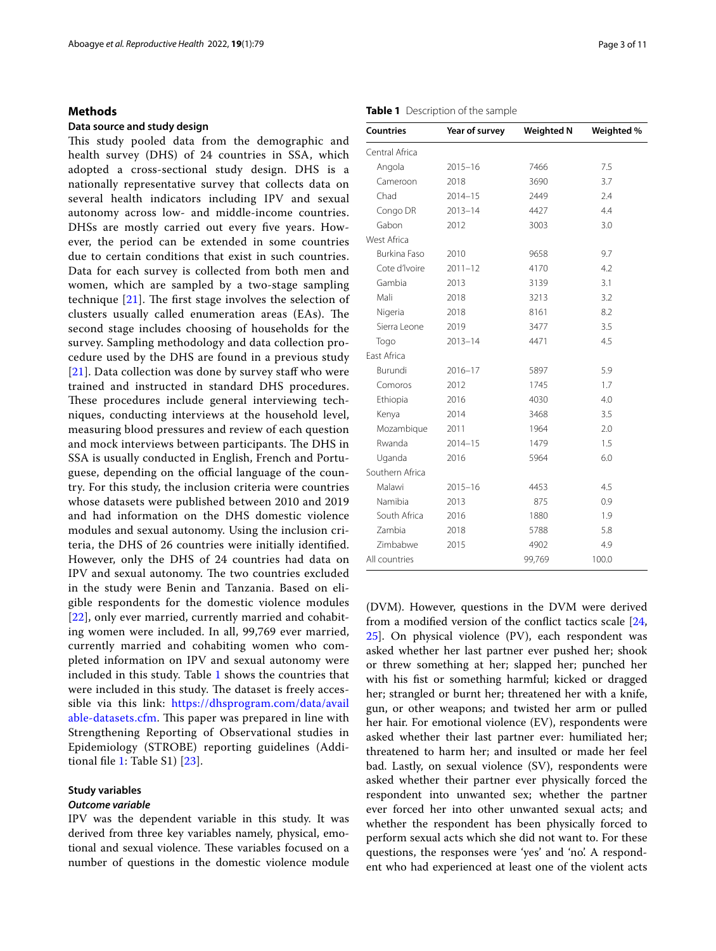# **Methods**

# **Data source and study design**

This study pooled data from the demographic and health survey (DHS) of 24 countries in SSA, which adopted a cross-sectional study design. DHS is a nationally representative survey that collects data on several health indicators including IPV and sexual autonomy across low- and middle-income countries. DHSs are mostly carried out every fve years. However, the period can be extended in some countries due to certain conditions that exist in such countries. Data for each survey is collected from both men and women, which are sampled by a two-stage sampling technique  $[21]$  $[21]$  $[21]$ . The first stage involves the selection of clusters usually called enumeration areas (EAs). The second stage includes choosing of households for the survey. Sampling methodology and data collection procedure used by the DHS are found in a previous study  $[21]$  $[21]$  $[21]$ . Data collection was done by survey staff who were trained and instructed in standard DHS procedures. These procedures include general interviewing techniques, conducting interviews at the household level, measuring blood pressures and review of each question and mock interviews between participants. The DHS in SSA is usually conducted in English, French and Portuguese, depending on the official language of the country. For this study, the inclusion criteria were countries whose datasets were published between 2010 and 2019 and had information on the DHS domestic violence modules and sexual autonomy. Using the inclusion criteria, the DHS of 26 countries were initially identifed. However, only the DHS of 24 countries had data on IPV and sexual autonomy. The two countries excluded in the study were Benin and Tanzania. Based on eligible respondents for the domestic violence modules [[22](#page-9-17)], only ever married, currently married and cohabiting women were included. In all, 99,769 ever married, currently married and cohabiting women who completed information on IPV and sexual autonomy were included in this study. Table [1](#page-2-0) shows the countries that were included in this study. The dataset is freely accessible via this link: [https://dhsprogram.com/data/avail](https://dhsprogram.com/data/available-datasets.cfm) [able-datasets.cfm.](https://dhsprogram.com/data/available-datasets.cfm) This paper was prepared in line with Strengthening Reporting of Observational studies in Epidemiology (STROBE) reporting guidelines (Additional fle [1:](#page-9-18) Table S1) [\[23](#page-9-19)].

# **Study variables**

# *Outcome variable*

IPV was the dependent variable in this study. It was derived from three key variables namely, physical, emotional and sexual violence. These variables focused on a number of questions in the domestic violence module

## <span id="page-2-0"></span>**Table 1** Description of the sample

| <b>Countries</b>    | Year of survey | <b>Weighted N</b> | Weighted % |  |
|---------------------|----------------|-------------------|------------|--|
| Central Africa      |                |                   |            |  |
| Angola              | $2015 - 16$    | 7466              | 7.5        |  |
| Cameroon            | 2018           | 3690              | 3.7        |  |
| Chad                | $2014 - 15$    | 2449              | 2.4        |  |
| Congo DR            | $2013 - 14$    | 4427              | 4.4        |  |
| Gabon               | 2012           | 3003              | 3.0        |  |
| West Africa         |                |                   |            |  |
| <b>Burkina Faso</b> | 2010           | 9658              | 9.7        |  |
| Cote d'Ivoire       | $2011 - 12$    | 4170              | 4.2        |  |
| Gambia              | 2013           | 3139              | 3.1        |  |
| Mali                | 2018           | 3213              | 3.2        |  |
| Nigeria             | 2018           | 8161              | 8.2        |  |
| Sierra Leone        | 2019           | 3477              | 3.5        |  |
| Togo                | $2013 - 14$    | 4471              | 4.5        |  |
| East Africa         |                |                   |            |  |
| Burundi             | $2016 - 17$    | 5897              | 5.9        |  |
| Comoros             | 2012           | 1745              | 1.7        |  |
| Ethiopia            | 2016           | 4030              | 4.0        |  |
| Kenya               | 2014           | 3468              | 3.5        |  |
| Mozambique          | 2011           | 1964              | 2.0        |  |
| Rwanda              | $2014 - 15$    | 1479              | 1.5        |  |
| Uganda              | 2016           | 5964              | 6.0        |  |
| Southern Africa     |                |                   |            |  |
| Malawi              | $2015 - 16$    | 4453              | 4.5        |  |
| Namibia             | 2013           | 875               | 0.9        |  |
| South Africa        | 2016           | 1880              | 1.9        |  |
| Zambia              | 2018           | 5788              | 5.8        |  |
| <b>Zimbabwe</b>     | 2015           | 4902              | 4.9        |  |
| All countries       |                | 99,769            | 100.0      |  |

(DVM). However, questions in the DVM were derived from a modifed version of the confict tactics scale [[24](#page-9-20), [25\]](#page-10-0). On physical violence (PV), each respondent was asked whether her last partner ever pushed her; shook or threw something at her; slapped her; punched her with his fst or something harmful; kicked or dragged her; strangled or burnt her; threatened her with a knife, gun, or other weapons; and twisted her arm or pulled her hair. For emotional violence (EV), respondents were asked whether their last partner ever: humiliated her; threatened to harm her; and insulted or made her feel bad. Lastly, on sexual violence (SV), respondents were asked whether their partner ever physically forced the respondent into unwanted sex; whether the partner ever forced her into other unwanted sexual acts; and whether the respondent has been physically forced to perform sexual acts which she did not want to. For these questions, the responses were 'yes' and 'no'. A respondent who had experienced at least one of the violent acts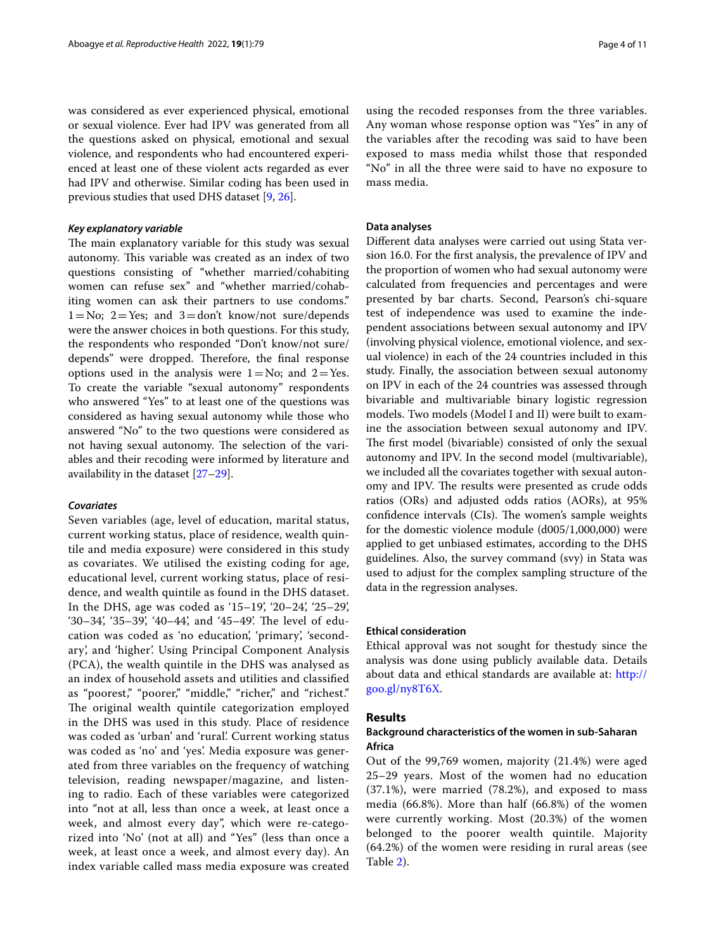was considered as ever experienced physical, emotional or sexual violence. Ever had IPV was generated from all the questions asked on physical, emotional and sexual violence, and respondents who had encountered experienced at least one of these violent acts regarded as ever had IPV and otherwise. Similar coding has been used in previous studies that used DHS dataset [[9,](#page-9-7) [26](#page-10-1)].

# *Key explanatory variable*

The main explanatory variable for this study was sexual autonomy. This variable was created as an index of two questions consisting of "whether married/cohabiting women can refuse sex" and "whether married/cohabiting women can ask their partners to use condoms."  $1=N_0$ ;  $2=Y$ es; and  $3=$ don't know/not sure/depends were the answer choices in both questions. For this study, the respondents who responded "Don't know/not sure/ depends" were dropped. Therefore, the final response options used in the analysis were  $1=N_0$ ; and  $2=Yes$ . To create the variable "sexual autonomy" respondents who answered "Yes" to at least one of the questions was considered as having sexual autonomy while those who answered "No" to the two questions were considered as not having sexual autonomy. The selection of the variables and their recoding were informed by literature and availability in the dataset [\[27](#page-10-2)–[29\]](#page-10-3).

#### *Covariates*

Seven variables (age, level of education, marital status, current working status, place of residence, wealth quintile and media exposure) were considered in this study as covariates. We utilised the existing coding for age, educational level, current working status, place of residence, and wealth quintile as found in the DHS dataset. In the DHS, age was coded as '15–19', '20–24', '25–29', '30–34', '35–39', '40–44', and '45–49'. The level of education was coded as 'no education', 'primary', 'secondary', and 'higher'. Using Principal Component Analysis (PCA), the wealth quintile in the DHS was analysed as an index of household assets and utilities and classifed as "poorest," "poorer," "middle," "richer," and "richest." The original wealth quintile categorization employed in the DHS was used in this study. Place of residence was coded as 'urban' and 'rural'. Current working status was coded as 'no' and 'yes'. Media exposure was generated from three variables on the frequency of watching television, reading newspaper/magazine, and listening to radio. Each of these variables were categorized into "not at all, less than once a week, at least once a week, and almost every day", which were re-categorized into 'No' (not at all) and "Yes" (less than once a week, at least once a week, and almost every day). An index variable called mass media exposure was created

using the recoded responses from the three variables. Any woman whose response option was "Yes" in any of the variables after the recoding was said to have been exposed to mass media whilst those that responded "No" in all the three were said to have no exposure to mass media.

## **Data analyses**

Diferent data analyses were carried out using Stata version 16.0. For the frst analysis, the prevalence of IPV and the proportion of women who had sexual autonomy were calculated from frequencies and percentages and were presented by bar charts. Second, Pearson's chi-square test of independence was used to examine the independent associations between sexual autonomy and IPV (involving physical violence, emotional violence, and sexual violence) in each of the 24 countries included in this study. Finally, the association between sexual autonomy on IPV in each of the 24 countries was assessed through bivariable and multivariable binary logistic regression models. Two models (Model I and II) were built to examine the association between sexual autonomy and IPV. The first model (bivariable) consisted of only the sexual autonomy and IPV. In the second model (multivariable), we included all the covariates together with sexual autonomy and IPV. The results were presented as crude odds ratios (ORs) and adjusted odds ratios (AORs), at 95% confidence intervals (CIs). The women's sample weights for the domestic violence module (d005/1,000,000) were applied to get unbiased estimates, according to the DHS guidelines. Also, the survey command (svy) in Stata was used to adjust for the complex sampling structure of the data in the regression analyses.

# **Ethical consideration**

Ethical approval was not sought for thestudy since the analysis was done using publicly available data. Details about data and ethical standards are available at: [http://](http://goo.gl/ny8T6X) [goo.gl/ny8T6X](http://goo.gl/ny8T6X).

# **Results**

# **Background characteristics of the women in sub‑Saharan Africa**

Out of the 99,769 women, majority (21.4%) were aged 25–29 years. Most of the women had no education (37.1%), were married (78.2%), and exposed to mass media (66.8%). More than half (66.8%) of the women were currently working. Most (20.3%) of the women belonged to the poorer wealth quintile. Majority (64.2%) of the women were residing in rural areas (see Table [2](#page-4-0)).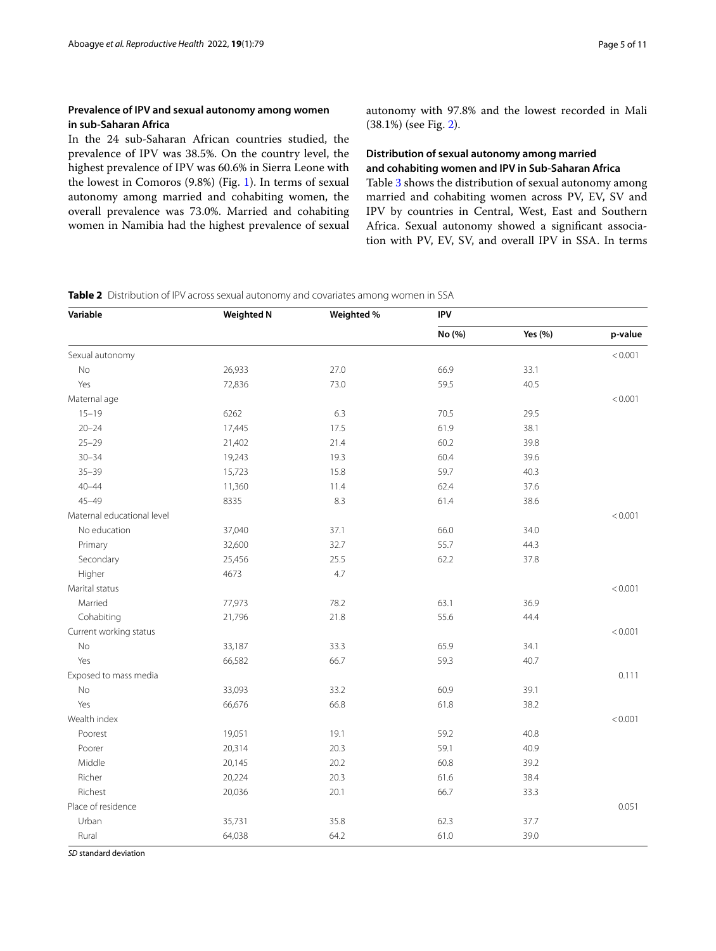# **Prevalence of IPV and sexual autonomy among women in sub‑Saharan Africa**

In the 24 sub-Saharan African countries studied, the prevalence of IPV was 38.5%. On the country level, the highest prevalence of IPV was 60.6% in Sierra Leone with the lowest in Comoros (9.8%) (Fig. [1\)](#page-5-0). In terms of sexual autonomy among married and cohabiting women, the overall prevalence was 73.0%. Married and cohabiting women in Namibia had the highest prevalence of sexual

autonomy with 97.8% and the lowest recorded in Mali (38.1%) (see Fig. [2\)](#page-6-0).

# **Distribution of sexual autonomy among married and cohabiting women and IPV in Sub‑Saharan Africa**

Table [3](#page-7-0) shows the distribution of sexual autonomy among married and cohabiting women across PV, EV, SV and IPV by countries in Central, West, East and Southern Africa. Sexual autonomy showed a signifcant association with PV, EV, SV, and overall IPV in SSA. In terms

<span id="page-4-0"></span>**Table 2** Distribution of IPV across sexual autonomy and covariates among women in SSA

| Variable                   | <b>Weighted N</b> | Weighted % | <b>IPV</b> |         |         |  |
|----------------------------|-------------------|------------|------------|---------|---------|--|
|                            |                   |            | No (%)     | Yes (%) | p-value |  |
| Sexual autonomy            |                   |            |            |         | < 0.001 |  |
| No                         | 26,933            | 27.0       | 66.9       | 33.1    |         |  |
| Yes                        | 72,836            | 73.0       | 59.5       | 40.5    |         |  |
| Maternal age               |                   |            |            |         | < 0.001 |  |
| $15 - 19$                  | 6262              | 6.3        | 70.5       | 29.5    |         |  |
| $20 - 24$                  | 17,445            | 17.5       | 61.9       | 38.1    |         |  |
| $25 - 29$                  | 21,402            | 21.4       | 60.2       | 39.8    |         |  |
| $30 - 34$                  | 19,243            | 19.3       | 60.4       | 39.6    |         |  |
| $35 - 39$                  | 15,723            | 15.8       | 59.7       | 40.3    |         |  |
| $40 - 44$                  | 11,360            | 11.4       | 62.4       | 37.6    |         |  |
| $45 - 49$                  | 8335              | 8.3        | 61.4       | 38.6    |         |  |
| Maternal educational level |                   |            |            |         | < 0.001 |  |
| No education               | 37,040            | 37.1       | 66.0       | 34.0    |         |  |
| Primary                    | 32,600            | 32.7       | 55.7       | 44.3    |         |  |
| Secondary                  | 25,456            | 25.5       | 62.2       | 37.8    |         |  |
| Higher                     | 4673              | 4.7        |            |         |         |  |
| Marital status             |                   |            |            |         | < 0.001 |  |
| Married                    | 77,973            | 78.2       | 63.1       | 36.9    |         |  |
| Cohabiting                 | 21,796            | 21.8       | 55.6       | 44.4    |         |  |
| Current working status     |                   |            |            |         | < 0.001 |  |
| No                         | 33,187            | 33.3       | 65.9       | 34.1    |         |  |
| Yes                        | 66,582            | 66.7       | 59.3       | 40.7    |         |  |
| Exposed to mass media      |                   |            |            |         | 0.111   |  |
| No                         | 33,093            | 33.2       | 60.9       | 39.1    |         |  |
| Yes                        | 66,676            | 66.8       | 61.8       | 38.2    |         |  |
| Wealth index               |                   |            |            |         | < 0.001 |  |
| Poorest                    | 19,051            | 19.1       | 59.2       | 40.8    |         |  |
| Poorer                     | 20,314            | 20.3       | 59.1       | 40.9    |         |  |
| Middle                     | 20,145            | 20.2       | 60.8       | 39.2    |         |  |
| Richer                     | 20,224            | 20.3       | 61.6       | 38.4    |         |  |
| Richest                    | 20,036            | 20.1       | 66.7       | 33.3    |         |  |
| Place of residence         |                   |            |            |         | 0.051   |  |
| Urban                      | 35,731            | 35.8       | 62.3       | 37.7    |         |  |
| Rural                      | 64,038            | 64.2       | 61.0       | 39.0    |         |  |

*SD* standard deviation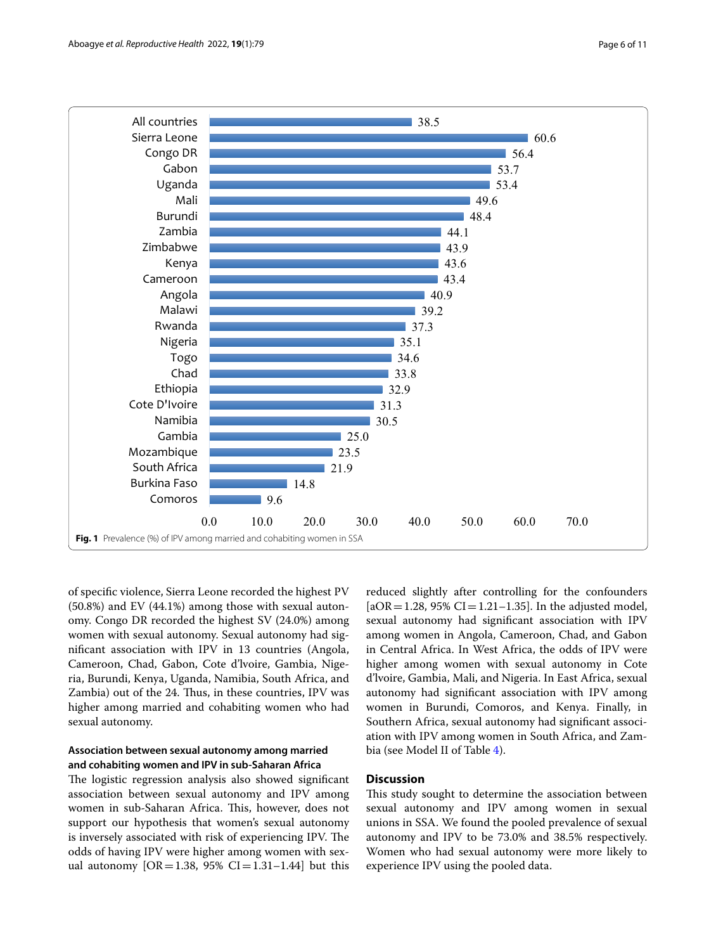

<span id="page-5-0"></span>of specifc violence, Sierra Leone recorded the highest PV (50.8%) and EV (44.1%) among those with sexual autonomy. Congo DR recorded the highest SV (24.0%) among women with sexual autonomy. Sexual autonomy had signifcant association with IPV in 13 countries (Angola, Cameroon, Chad, Gabon, Cote d'lvoire, Gambia, Nigeria, Burundi, Kenya, Uganda, Namibia, South Africa, and Zambia) out of the 24. Thus, in these countries, IPV was higher among married and cohabiting women who had sexual autonomy.

# **Association between sexual autonomy among married and cohabiting women and IPV in sub‑Saharan Africa**

The logistic regression analysis also showed significant association between sexual autonomy and IPV among women in sub-Saharan Africa. This, however, does not support our hypothesis that women's sexual autonomy is inversely associated with risk of experiencing IPV. The odds of having IPV were higher among women with sexual autonomy  $[OR = 1.38, 95\% \text{ CI} = 1.31 - 1.44]$  but this reduced slightly after controlling for the confounders  $[aOR = 1.28, 95\% CI = 1.21 - 1.35]$ . In the adjusted model, sexual autonomy had signifcant association with IPV among women in Angola, Cameroon, Chad, and Gabon in Central Africa. In West Africa, the odds of IPV were higher among women with sexual autonomy in Cote d'lvoire, Gambia, Mali, and Nigeria. In East Africa, sexual autonomy had signifcant association with IPV among women in Burundi, Comoros, and Kenya. Finally, in Southern Africa, sexual autonomy had signifcant association with IPV among women in South Africa, and Zambia (see Model II of Table [4](#page-8-0)).

# **Discussion**

This study sought to determine the association between sexual autonomy and IPV among women in sexual unions in SSA. We found the pooled prevalence of sexual autonomy and IPV to be 73.0% and 38.5% respectively. Women who had sexual autonomy were more likely to experience IPV using the pooled data.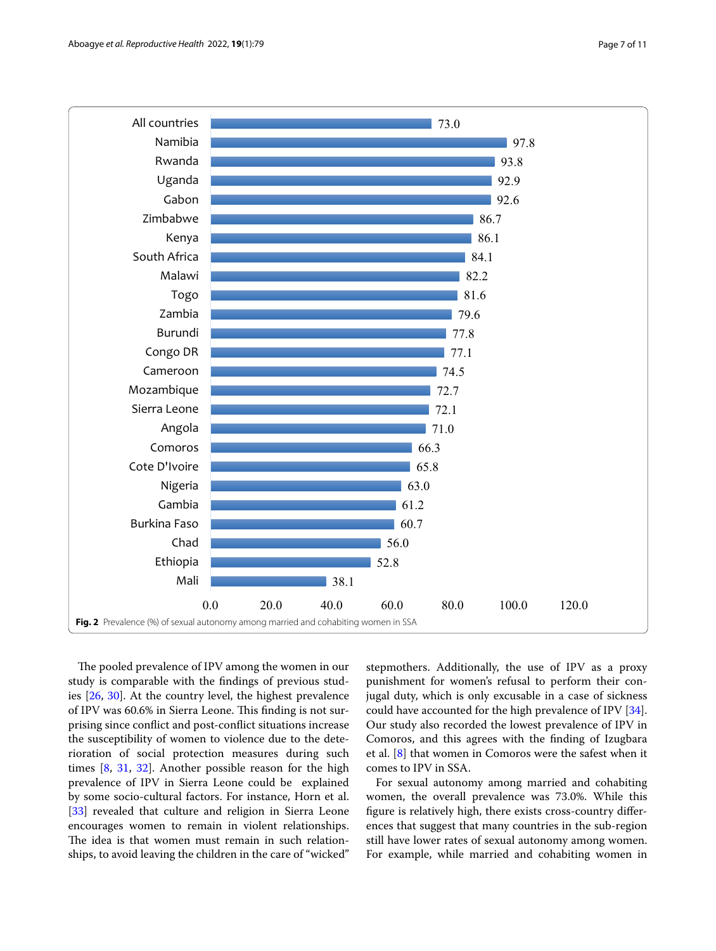

<span id="page-6-0"></span>The pooled prevalence of IPV among the women in our study is comparable with the fndings of previous studies [\[26,](#page-10-1) [30](#page-10-4)]. At the country level, the highest prevalence of IPV was 60.6% in Sierra Leone. This finding is not surprising since confict and post-confict situations increase the susceptibility of women to violence due to the deterioration of social protection measures during such times [\[8](#page-9-6), [31](#page-10-5), [32](#page-10-6)]. Another possible reason for the high prevalence of IPV in Sierra Leone could be explained by some socio-cultural factors. For instance, Horn et al. [[33\]](#page-10-7) revealed that culture and religion in Sierra Leone encourages women to remain in violent relationships. The idea is that women must remain in such relationships, to avoid leaving the children in the care of "wicked"

stepmothers. Additionally, the use of IPV as a proxy punishment for women's refusal to perform their conjugal duty, which is only excusable in a case of sickness could have accounted for the high prevalence of IPV [\[34](#page-10-8)]. Our study also recorded the lowest prevalence of IPV in Comoros, and this agrees with the fnding of Izugbara et al. [\[8](#page-9-6)] that women in Comoros were the safest when it comes to IPV in SSA.

For sexual autonomy among married and cohabiting women, the overall prevalence was 73.0%. While this fgure is relatively high, there exists cross-country diferences that suggest that many countries in the sub-region still have lower rates of sexual autonomy among women. For example, while married and cohabiting women in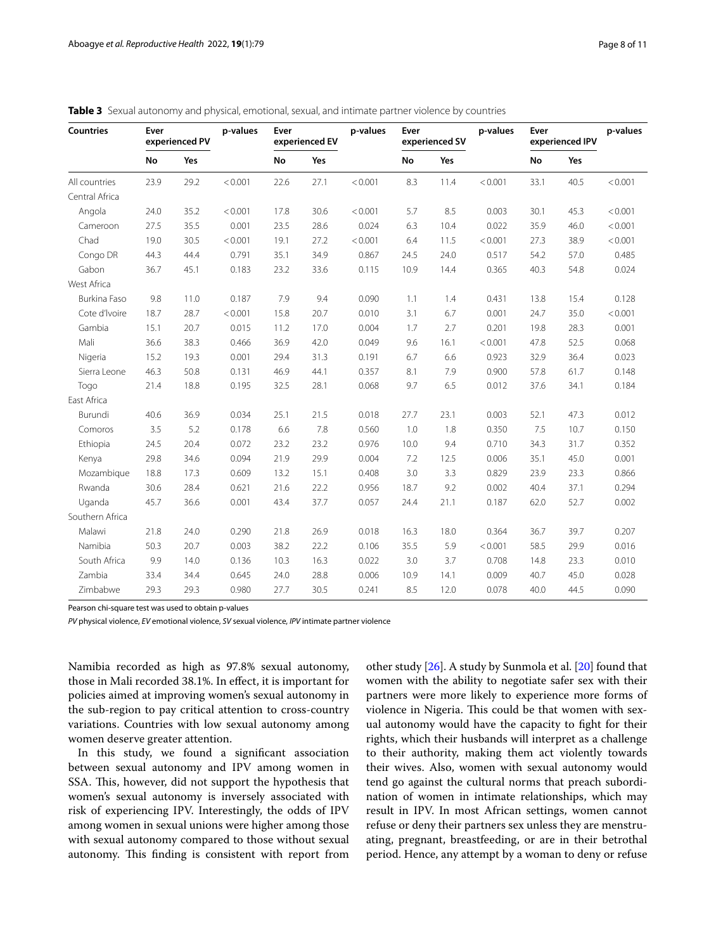| <b>Countries</b><br>Ever<br>No | experienced PV |      | p-values | Ever<br>experienced EV |      | p-values | Ever<br>experienced SV |      | p-values | Ever<br>experienced IPV |      | p-values |
|--------------------------------|----------------|------|----------|------------------------|------|----------|------------------------|------|----------|-------------------------|------|----------|
|                                | Yes            | No   |          | Yes                    |      | No       | Yes                    |      | No       | Yes                     |      |          |
| All countries                  | 23.9           | 29.2 | < 0.001  | 22.6                   | 27.1 | < 0.001  | 8.3                    | 11.4 | < 0.001  | 33.1                    | 40.5 | < 0.001  |
| Central Africa                 |                |      |          |                        |      |          |                        |      |          |                         |      |          |
| Angola                         | 24.0           | 35.2 | < 0.001  | 17.8                   | 30.6 | < 0.001  | 5.7                    | 8.5  | 0.003    | 30.1                    | 45.3 | < 0.001  |
| Cameroon                       | 27.5           | 35.5 | 0.001    | 23.5                   | 28.6 | 0.024    | 6.3                    | 10.4 | 0.022    | 35.9                    | 46.0 | < 0.001  |
| Chad                           | 19.0           | 30.5 | < 0.001  | 19.1                   | 27.2 | < 0.001  | 6.4                    | 11.5 | < 0.001  | 27.3                    | 38.9 | < 0.001  |
| Congo DR                       | 44.3           | 44.4 | 0.791    | 35.1                   | 34.9 | 0.867    | 24.5                   | 24.0 | 0.517    | 54.2                    | 57.0 | 0.485    |
| Gabon                          | 36.7           | 45.1 | 0.183    | 23.2                   | 33.6 | 0.115    | 10.9                   | 14.4 | 0.365    | 40.3                    | 54.8 | 0.024    |
| West Africa                    |                |      |          |                        |      |          |                        |      |          |                         |      |          |
| Burkina Faso                   | 9.8            | 11.0 | 0.187    | 7.9                    | 9.4  | 0.090    | 1.1                    | 1.4  | 0.431    | 13.8                    | 15.4 | 0.128    |
| Cote d'Ivoire                  | 18.7           | 28.7 | < 0.001  | 15.8                   | 20.7 | 0.010    | 3.1                    | 6.7  | 0.001    | 24.7                    | 35.0 | < 0.001  |
| Gambia                         | 15.1           | 20.7 | 0.015    | 11.2                   | 17.0 | 0.004    | 1.7                    | 2.7  | 0.201    | 19.8                    | 28.3 | 0.001    |
| Mali                           | 36.6           | 38.3 | 0.466    | 36.9                   | 42.0 | 0.049    | 9.6                    | 16.1 | < 0.001  | 47.8                    | 52.5 | 0.068    |
| Nigeria                        | 15.2           | 19.3 | 0.001    | 29.4                   | 31.3 | 0.191    | 6.7                    | 6.6  | 0.923    | 32.9                    | 36.4 | 0.023    |
| Sierra Leone                   | 46.3           | 50.8 | 0.131    | 46.9                   | 44.1 | 0.357    | 8.1                    | 7.9  | 0.900    | 57.8                    | 61.7 | 0.148    |
| Togo                           | 21.4           | 18.8 | 0.195    | 32.5                   | 28.1 | 0.068    | 9.7                    | 6.5  | 0.012    | 37.6                    | 34.1 | 0.184    |
| East Africa                    |                |      |          |                        |      |          |                        |      |          |                         |      |          |
| Burundi                        | 40.6           | 36.9 | 0.034    | 25.1                   | 21.5 | 0.018    | 27.7                   | 23.1 | 0.003    | 52.1                    | 47.3 | 0.012    |
| Comoros                        | 3.5            | 5.2  | 0.178    | 6.6                    | 7.8  | 0.560    | 1.0                    | 1.8  | 0.350    | 7.5                     | 10.7 | 0.150    |
| Ethiopia                       | 24.5           | 20.4 | 0.072    | 23.2                   | 23.2 | 0.976    | 10.0                   | 9.4  | 0.710    | 34.3                    | 31.7 | 0.352    |
| Kenya                          | 29.8           | 34.6 | 0.094    | 21.9                   | 29.9 | 0.004    | 7.2                    | 12.5 | 0.006    | 35.1                    | 45.0 | 0.001    |
| Mozambique                     | 18.8           | 17.3 | 0.609    | 13.2                   | 15.1 | 0.408    | 3.0                    | 3.3  | 0.829    | 23.9                    | 23.3 | 0.866    |
| Rwanda                         | 30.6           | 28.4 | 0.621    | 21.6                   | 22.2 | 0.956    | 18.7                   | 9.2  | 0.002    | 40.4                    | 37.1 | 0.294    |
| Uganda                         | 45.7           | 36.6 | 0.001    | 43.4                   | 37.7 | 0.057    | 24.4                   | 21.1 | 0.187    | 62.0                    | 52.7 | 0.002    |
| Southern Africa                |                |      |          |                        |      |          |                        |      |          |                         |      |          |
| Malawi                         | 21.8           | 24.0 | 0.290    | 21.8                   | 26.9 | 0.018    | 16.3                   | 18.0 | 0.364    | 36.7                    | 39.7 | 0.207    |
| Namibia                        | 50.3           | 20.7 | 0.003    | 38.2                   | 22.2 | 0.106    | 35.5                   | 5.9  | < 0.001  | 58.5                    | 29.9 | 0.016    |
| South Africa                   | 9.9            | 14.0 | 0.136    | 10.3                   | 16.3 | 0.022    | 3.0                    | 3.7  | 0.708    | 14.8                    | 23.3 | 0.010    |
| Zambia                         | 33.4           | 34.4 | 0.645    | 24.0                   | 28.8 | 0.006    | 10.9                   | 14.1 | 0.009    | 40.7                    | 45.0 | 0.028    |
| Zimbabwe                       | 29.3           | 29.3 | 0.980    | 27.7                   | 30.5 | 0.241    | 8.5                    | 12.0 | 0.078    | 40.0                    | 44.5 | 0.090    |

<span id="page-7-0"></span>**Table 3** Sexual autonomy and physical, emotional, sexual, and intimate partner violence by countries

Pearson chi-square test was used to obtain p-values

*PV* physical violence, *EV* emotional violence, *SV* sexual violence, *IPV* intimate partner violence

Namibia recorded as high as 97.8% sexual autonomy, those in Mali recorded 38.1%. In efect, it is important for policies aimed at improving women's sexual autonomy in the sub-region to pay critical attention to cross-country variations. Countries with low sexual autonomy among women deserve greater attention.

In this study, we found a signifcant association between sexual autonomy and IPV among women in SSA. This, however, did not support the hypothesis that women's sexual autonomy is inversely associated with risk of experiencing IPV. Interestingly, the odds of IPV among women in sexual unions were higher among those with sexual autonomy compared to those without sexual autonomy. This finding is consistent with report from other study [\[26\]](#page-10-1). A study by Sunmola et al. [\[20\]](#page-9-15) found that women with the ability to negotiate safer sex with their partners were more likely to experience more forms of violence in Nigeria. This could be that women with sexual autonomy would have the capacity to fght for their rights, which their husbands will interpret as a challenge to their authority, making them act violently towards their wives. Also, women with sexual autonomy would tend go against the cultural norms that preach subordination of women in intimate relationships, which may result in IPV. In most African settings, women cannot refuse or deny their partners sex unless they are menstruating, pregnant, breastfeeding, or are in their betrothal period. Hence, any attempt by a woman to deny or refuse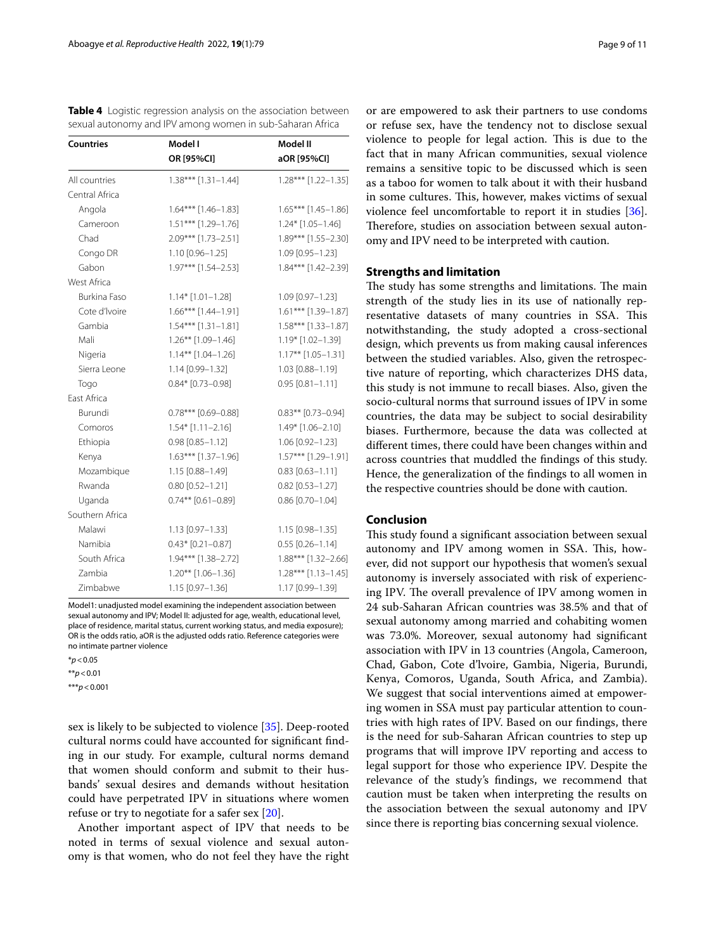<span id="page-8-0"></span>

| Table 4 Logistic regression analysis on the association between |  |
|-----------------------------------------------------------------|--|
| sexual autonomy and IPV among women in sub-Saharan Africa       |  |

| <b>Countries</b> | Model I                 | Model II<br>aOR [95%Cl] |  |  |
|------------------|-------------------------|-------------------------|--|--|
|                  | OR [95%CI]              |                         |  |  |
| All countries    | $1.38***$ [1.31-1.44]   | 1.28*** [1.22-1.35]     |  |  |
| Central Africa   |                         |                         |  |  |
| Angola           | $1.64***$ [1.46-1.83]   | 1.65*** [1.45-1.86]     |  |  |
| Cameroon         | 1.51*** [1.29-1.76]     | $1.24*$ [1.05-1.46]     |  |  |
| Chad             | 2.09*** [1.73-2.51]     | 1.89*** [1.55-2.30]     |  |  |
| Congo DR         | $1.10$ [0.96-1.25]      | 1.09 [0.95-1.23]        |  |  |
| Gabon            | $1.97***$ [1.54-2.53]   | 1.84*** [1.42-2.39]     |  |  |
| West Africa      |                         |                         |  |  |
| Burkina Faso     | $1.14*$ $[1.01-1.28]$   | 1.09 [0.97-1.23]        |  |  |
| Cote d'Ivoire    | $1.66***$ [1.44-1.91]   | 1.61*** [1.39-1.87]     |  |  |
| Gambia           | $1.54***$ [1.31-1.81]   | $1.58***$ [1.33-1.87]   |  |  |
| Mali             | 1.26** [1.09-1.46]      | 1.19* [1.02-1.39]       |  |  |
| Nigeria          | $1.14***$ $[1.04-1.26]$ | $1.17**$ [1.05-1.31]    |  |  |
| Sierra Leone     | 1.14 [0.99-1.32]        | 1.03 [0.88-1.19]        |  |  |
| Togo             | $0.84*$ [0.73-0.98]     | $0.95$ [0.81-1.11]      |  |  |
| East Africa      |                         |                         |  |  |
| Burundi          | $0.78***$ [0.69-0.88]   | $0.83***$ [0.73-0.94]   |  |  |
| Comoros          | $1.54*$ [1.11-2.16]     | 1.49* [1.06-2.10]       |  |  |
| Ethiopia         | $0.98$ $[0.85 - 1.12]$  | 1.06 [0.92-1.23]        |  |  |
| Kenya            | $1.63***$ [1.37-1.96]   | 1.57*** [1.29-1.91]     |  |  |
| Mozambique       | 1.15 [0.88-1.49]        | $0.83$ [0.63-1.11]      |  |  |
| Rwanda           | $0.80$ [0.52-1.21]      | $0.82$ [0.53-1.27]      |  |  |
| Uganda           | $0.74**$ [0.61-0.89]    | $0.86$ [0.70-1.04]      |  |  |
| Southern Africa  |                         |                         |  |  |
| Malawi           | 1.13 [0.97-1.33]        | $1.15$ [0.98-1.35]      |  |  |
| Namibia          | $0.43*$ [0.21-0.87]     | $0.55$ [0.26-1.14]      |  |  |
| South Africa     | 1.94*** [1.38-2.72]     | 1.88*** [1.32-2.66]     |  |  |
| Zambia           | $1.20**$ [1.06-1.36]    | $1.28***$ [1.13-1.45]   |  |  |
| Zimbabwe         | 1.15 [0.97-1.36]        | 1.17 [0.99-1.39]        |  |  |

Model1: unadjusted model examining the independent association between sexual autonomy and IPV; Model II: adjusted for age, wealth, educational level, place of residence, marital status, current working status, and media exposure); OR is the odds ratio, aOR is the adjusted odds ratio. Reference categories were no intimate partner violence

\**p*<0.05

\*\**p*<0.01

\*\*\**p*<0.001

sex is likely to be subjected to violence [\[35](#page-10-9)]. Deep-rooted cultural norms could have accounted for signifcant fnding in our study. For example, cultural norms demand that women should conform and submit to their husbands' sexual desires and demands without hesitation could have perpetrated IPV in situations where women refuse or try to negotiate for a safer sex [[20\]](#page-9-15).

Another important aspect of IPV that needs to be noted in terms of sexual violence and sexual autonomy is that women, who do not feel they have the right or are empowered to ask their partners to use condoms or refuse sex, have the tendency not to disclose sexual violence to people for legal action. This is due to the fact that in many African communities, sexual violence remains a sensitive topic to be discussed which is seen as a taboo for women to talk about it with their husband in some cultures. This, however, makes victims of sexual violence feel uncomfortable to report it in studies [\[36](#page-10-10)]. Therefore, studies on association between sexual autonomy and IPV need to be interpreted with caution.

#### **Strengths and limitation**

The study has some strengths and limitations. The main strength of the study lies in its use of nationally representative datasets of many countries in SSA. This notwithstanding, the study adopted a cross-sectional design, which prevents us from making causal inferences between the studied variables. Also, given the retrospective nature of reporting, which characterizes DHS data, this study is not immune to recall biases. Also, given the socio-cultural norms that surround issues of IPV in some countries, the data may be subject to social desirability biases. Furthermore, because the data was collected at diferent times, there could have been changes within and across countries that muddled the fndings of this study. Hence, the generalization of the fndings to all women in the respective countries should be done with caution.

# **Conclusion**

This study found a significant association between sexual autonomy and IPV among women in SSA. This, however, did not support our hypothesis that women's sexual autonomy is inversely associated with risk of experiencing IPV. The overall prevalence of IPV among women in 24 sub-Saharan African countries was 38.5% and that of sexual autonomy among married and cohabiting women was 73.0%. Moreover, sexual autonomy had signifcant association with IPV in 13 countries (Angola, Cameroon, Chad, Gabon, Cote d'lvoire, Gambia, Nigeria, Burundi, Kenya, Comoros, Uganda, South Africa, and Zambia). We suggest that social interventions aimed at empowering women in SSA must pay particular attention to countries with high rates of IPV. Based on our fndings, there is the need for sub-Saharan African countries to step up programs that will improve IPV reporting and access to legal support for those who experience IPV. Despite the relevance of the study's fndings, we recommend that caution must be taken when interpreting the results on the association between the sexual autonomy and IPV since there is reporting bias concerning sexual violence.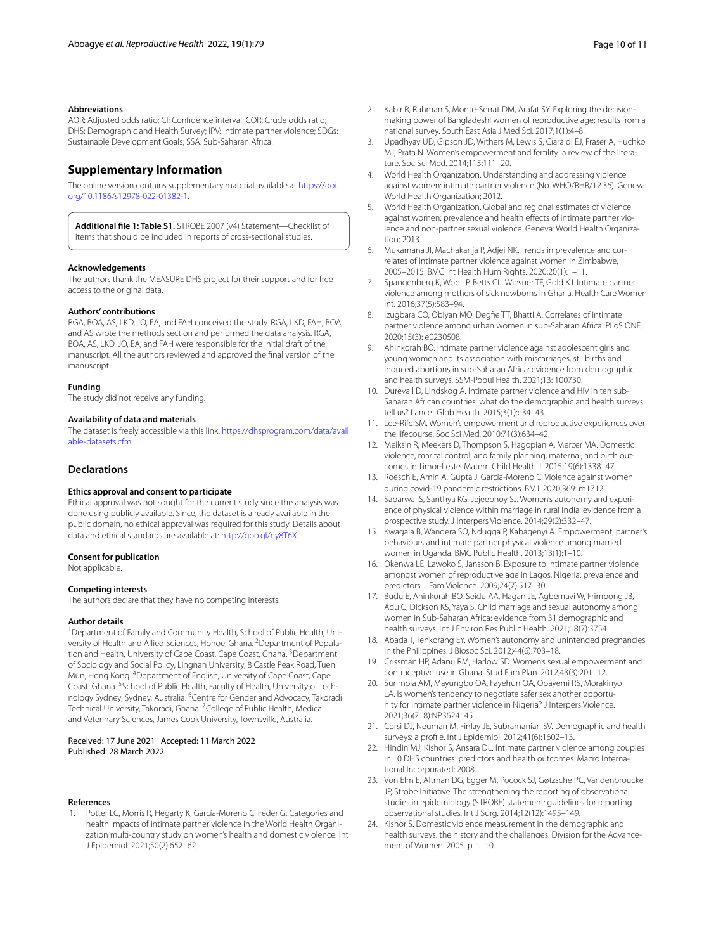#### **Abbreviations**

AOR: Adjusted odds ratio; CI: Confdence interval; COR: Crude odds ratio; DHS: Demographic and Health Survey; IPV: Intimate partner violence; SDGs: Sustainable Development Goals; SSA: Sub-Saharan Africa.

# **Supplementary Information**

The online version contains supplementary material available at [https://doi.](https://doi.org/10.1186/s12978-022-01382-1) [org/10.1186/s12978-022-01382-1](https://doi.org/10.1186/s12978-022-01382-1).

<span id="page-9-18"></span>**Additional fle 1: Table S1.** STROBE 2007 (v4) Statement—Checklist of items that should be included in reports of cross-sectional studies.

#### **Acknowledgements**

The authors thank the MEASURE DHS project for their support and for free access to the original data.

#### **Authors' contributions**

RGA, BOA, AS, LKD, JO, EA, and FAH conceived the study. RGA, LKD, FAH, BOA, and AS wrote the methods section and performed the data analysis. RGA, BOA, AS, LKD, JO, EA, and FAH were responsible for the initial draft of the manuscript. All the authors reviewed and approved the fnal version of the manuscript.

#### **Funding**

The study did not receive any funding.

#### **Availability of data and materials**

The dataset is freely accessible via this link: [https://dhsprogram.com/data/avail](https://dhsprogram.com/data/available-datasets.cfm) [able-datasets.cfm](https://dhsprogram.com/data/available-datasets.cfm).

# **Declarations**

#### **Ethics approval and consent to participate**

Ethical approval was not sought for the current study since the analysis was done using publicly available. Since, the dataset is already available in the public domain, no ethical approval was required for this study. Details about data and ethical standards are available at:<http://goo.gl/ny8T6X>.

#### **Consent for publication**

Not applicable.

#### **Competing interests**

The authors declare that they have no competing interests.

#### **Author details**

<sup>1</sup> Department of Family and Community Health, School of Public Health, University of Health and Allied Sciences, Hohoe, Ghana. <sup>2</sup> Department of Population and Health, University of Cape Coast, Cape Coast, Ghana. <sup>3</sup> Department of Sociology and Social Policy, Lingnan University, 8 Castle Peak Road, Tuen Mun, Hong Kong. <sup>4</sup>Department of English, University of Cape Coast, Cape Coast, Ghana. <sup>5</sup>School of Public Health, Faculty of Health, University of Technology Sydney, Sydney, Australia. <sup>6</sup> Centre for Gender and Advocacy, Takoradi Technical University, Takoradi, Ghana. <sup>7</sup> College of Public Health, Medical and Veterinary Sciences, James Cook University, Townsville, Australia.

#### Received: 17 June 2021 Accepted: 11 March 2022 Published: 28 March 2022

#### **References**

<span id="page-9-0"></span>1. Potter LC, Morris R, Hegarty K, García-Moreno C, Feder G. Categories and health impacts of intimate partner violence in the World Health Organization multi-country study on women's health and domestic violence. Int J Epidemiol. 2021;50(2):652–62.

- <span id="page-9-1"></span>3. Upadhyay UD, Gipson JD, Withers M, Lewis S, Ciaraldi EJ, Fraser A, Huchko MJ, Prata N. Women's empowerment and fertility: a review of the literature. Soc Sci Med. 2014;115:111–20.
- <span id="page-9-2"></span>4. World Health Organization. Understanding and addressing violence against women: intimate partner violence (No. WHO/RHR/12.36). Geneva: World Health Organization; 2012.
- <span id="page-9-3"></span>5. World Health Organization. Global and regional estimates of violence against women: prevalence and health effects of intimate partner violence and non-partner sexual violence. Geneva: World Health Organization; 2013.
- <span id="page-9-4"></span>6. Mukamana JI, Machakanja P, Adjei NK. Trends in prevalence and correlates of intimate partner violence against women in Zimbabwe, 2005–2015. BMC Int Health Hum Rights. 2020;20(1):1–11.
- <span id="page-9-5"></span>7. Spangenberg K, Wobil P, Betts CL, Wiesner TF, Gold KJ. Intimate partner violence among mothers of sick newborns in Ghana. Health Care Women Int. 2016;37(5):583–94.
- <span id="page-9-6"></span>8. Izugbara CO, Obiyan MO, Degfe TT, Bhatti A. Correlates of intimate partner violence among urban women in sub-Saharan Africa. PLoS ONE. 2020;15(3): e0230508.
- <span id="page-9-7"></span>9. Ahinkorah BO. Intimate partner violence against adolescent girls and young women and its association with miscarriages, stillbirths and induced abortions in sub-Saharan Africa: evidence from demographic and health surveys. SSM-Popul Health. 2021;13: 100730.
- <span id="page-9-8"></span>10. Durevall D, Lindskog A. Intimate partner violence and HIV in ten sub-Saharan African countries: what do the demographic and health surveys tell us? Lancet Glob Health. 2015;3(1):e34–43.
- 11. Lee-Rife SM. Women's empowerment and reproductive experiences over the lifecourse. Soc Sci Med. 2010;71(3):634–42.
- 12. Meiksin R, Meekers D, Thompson S, Hagopian A, Mercer MA. Domestic violence, marital control, and family planning, maternal, and birth outcomes in Timor-Leste. Matern Child Health J. 2015;19(6):1338–47.
- 13. Roesch E, Amin A, Gupta J, García-Moreno C. Violence against women during covid-19 pandemic restrictions. BMJ. 2020;369: m1712.
- <span id="page-9-9"></span>14. Sabarwal S, Santhya KG, Jejeebhoy SJ. Women's autonomy and experience of physical violence within marriage in rural India: evidence from a prospective study. J Interpers Violence. 2014;29(2):332–47.
- <span id="page-9-10"></span>15. Kwagala B, Wandera SO, Ndugga P, Kabagenyi A. Empowerment, partner's behaviours and intimate partner physical violence among married women in Uganda. BMC Public Health. 2013;13(1):1–10.
- <span id="page-9-11"></span>16. Okenwa LE, Lawoko S, Jansson B. Exposure to intimate partner violence amongst women of reproductive age in Lagos, Nigeria: prevalence and predictors. J Fam Violence. 2009;24(7):517–30.
- <span id="page-9-12"></span>17. Budu E, Ahinkorah BO, Seidu AA, Hagan JE, Agbemavi W, Frimpong JB, Adu C, Dickson KS, Yaya S. Child marriage and sexual autonomy among women in Sub-Saharan Africa: evidence from 31 demographic and health surveys. Int J Environ Res Public Health. 2021;18(7):3754.
- <span id="page-9-13"></span>18. Abada T, Tenkorang EY. Women's autonomy and unintended pregnancies in the Philippines. J Biosoc Sci. 2012;44(6):703–18.
- <span id="page-9-14"></span>19. Crissman HP, Adanu RM, Harlow SD. Women's sexual empowerment and contraceptive use in Ghana. Stud Fam Plan. 2012;43(3):201–12.
- <span id="page-9-15"></span>20. Sunmola AM, Mayungbo OA, Fayehun OA, Opayemi RS, Morakinyo LA. Is women's tendency to negotiate safer sex another opportunity for intimate partner violence in Nigeria? J Interpers Violence. 2021;36(7–8):NP3624–45.
- <span id="page-9-16"></span>21. Corsi DJ, Neuman M, Finlay JE, Subramanian SV. Demographic and health surveys: a profle. Int J Epidemiol. 2012;41(6):1602–13.
- <span id="page-9-17"></span>22. Hindin MJ, Kishor S, Ansara DL. Intimate partner violence among couples in 10 DHS countries: predictors and health outcomes. Macro International Incorporated; 2008.
- <span id="page-9-19"></span>23. Von Elm E, Altman DG, Egger M, Pocock SJ, Gøtzsche PC, Vandenbroucke JP, Strobe Initiative. The strengthening the reporting of observational studies in epidemiology (STROBE) statement: guidelines for reporting observational studies. Int J Surg. 2014;12(12):1495–149.
- <span id="page-9-20"></span>24. Kishor S. Domestic violence measurement in the demographic and health surveys: the history and the challenges. Division for the Advancement of Women. 2005. p. 1–10.